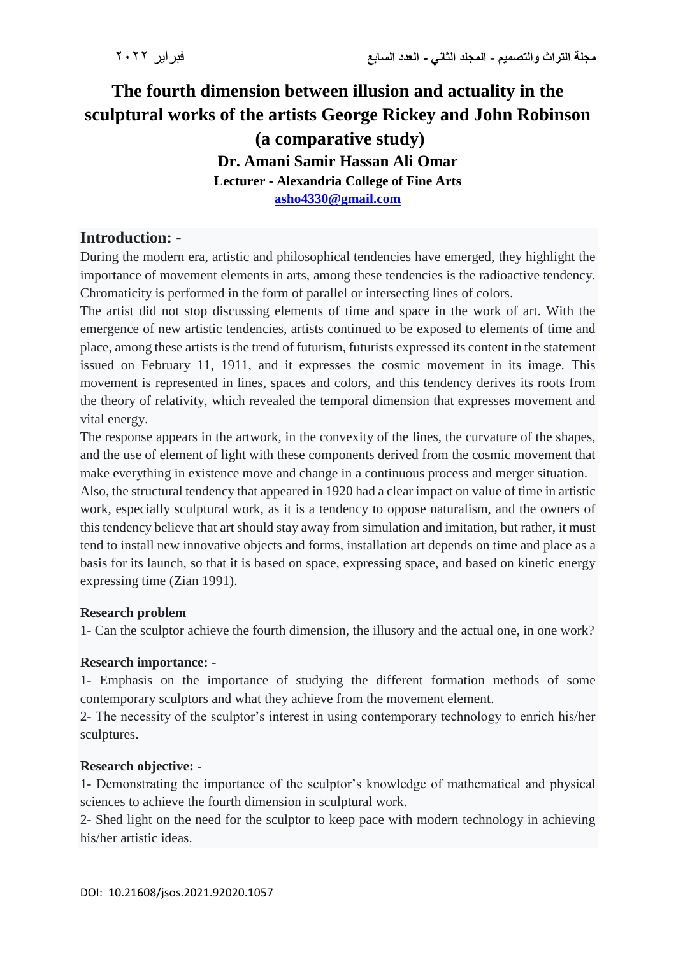# **The fourth dimension between illusion and actuality in the sculptural works of the artists George Rickey and John Robinson (a comparative study) Dr. Amani Samir Hassan Ali Omar Lecturer - Alexandria College of Fine Arts [asho4330@gmail.com](mailto:asho4330@gmail.com)**

## **Introduction: -**

During the modern era, artistic and philosophical tendencies have emerged, they highlight the importance of movement elements in arts, among these tendencies is the radioactive tendency. Chromaticity is performed in the form of parallel or intersecting lines of colors.

The artist did not stop discussing elements of time and space in the work of art. With the emergence of new artistic tendencies, artists continued to be exposed to elements of time and place, among these artists is the trend of futurism, futurists expressed its content in the statement issued on February 11, 1911, and it expresses the cosmic movement in its image. This movement is represented in lines, spaces and colors, and this tendency derives its roots from the theory of relativity, which revealed the temporal dimension that expresses movement and vital energy.

The response appears in the artwork, in the convexity of the lines, the curvature of the shapes, and the use of element of light with these components derived from the cosmic movement that make everything in existence move and change in a continuous process and merger situation.

Also, the structural tendency that appeared in 1920 had a clear impact on value of time in artistic work, especially sculptural work, as it is a tendency to oppose naturalism, and the owners of this tendency believe that art should stay away from simulation and imitation, but rather, it must tend to install new innovative objects and forms, installation art depends on time and place as a basis for its launch, so that it is based on space, expressing space, and based on kinetic energy expressing time (Zian 1991).

### **Research problem**

1- Can the sculptor achieve the fourth dimension, the illusory and the actual one, in one work?

#### **Research importance: -**

1- Emphasis on the importance of studying the different formation methods of some contemporary sculptors and what they achieve from the movement element.

2- The necessity of the sculptor's interest in using contemporary technology to enrich his/her sculptures.

### **Research objective: -**

1- Demonstrating the importance of the sculptor's knowledge of mathematical and physical sciences to achieve the fourth dimension in sculptural work.

2- Shed light on the need for the sculptor to keep pace with modern technology in achieving his/her artistic ideas.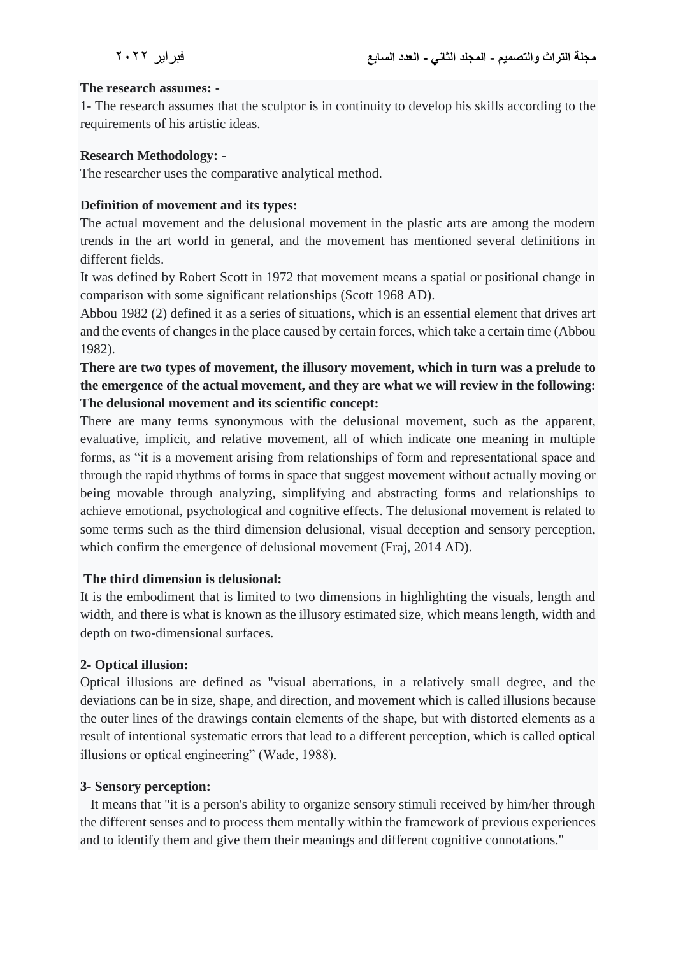#### **The research assumes: -**

1- The research assumes that the sculptor is in continuity to develop his skills according to the requirements of his artistic ideas.

#### **Research Methodology: -**

The researcher uses the comparative analytical method.

#### **Definition of movement and its types:**

The actual movement and the delusional movement in the plastic arts are among the modern trends in the art world in general, and the movement has mentioned several definitions in different fields.

It was defined by Robert Scott in 1972 that movement means a spatial or positional change in comparison with some significant relationships (Scott 1968 AD).

Abbou 1982 (2) defined it as a series of situations, which is an essential element that drives art and the events of changes in the place caused by certain forces, which take a certain time (Abbou 1982).

## **There are two types of movement, the illusory movement, which in turn was a prelude to the emergence of the actual movement, and they are what we will review in the following: The delusional movement and its scientific concept:**

There are many terms synonymous with the delusional movement, such as the apparent, evaluative, implicit, and relative movement, all of which indicate one meaning in multiple forms, as "it is a movement arising from relationships of form and representational space and through the rapid rhythms of forms in space that suggest movement without actually moving or being movable through analyzing, simplifying and abstracting forms and relationships to achieve emotional, psychological and cognitive effects. The delusional movement is related to some terms such as the third dimension delusional, visual deception and sensory perception, which confirm the emergence of delusional movement (Fraj, 2014 AD).

#### **The third dimension is delusional:**

It is the embodiment that is limited to two dimensions in highlighting the visuals, length and width, and there is what is known as the illusory estimated size, which means length, width and depth on two-dimensional surfaces.

#### **2- Optical illusion:**

Optical illusions are defined as "visual aberrations, in a relatively small degree, and the deviations can be in size, shape, and direction, and movement which is called illusions because the outer lines of the drawings contain elements of the shape, but with distorted elements as a result of intentional systematic errors that lead to a different perception, which is called optical illusions or optical engineering" (Wade, 1988).

#### **3- Sensory perception:**

 It means that "it is a person's ability to organize sensory stimuli received by him/her through the different senses and to process them mentally within the framework of previous experiences and to identify them and give them their meanings and different cognitive connotations."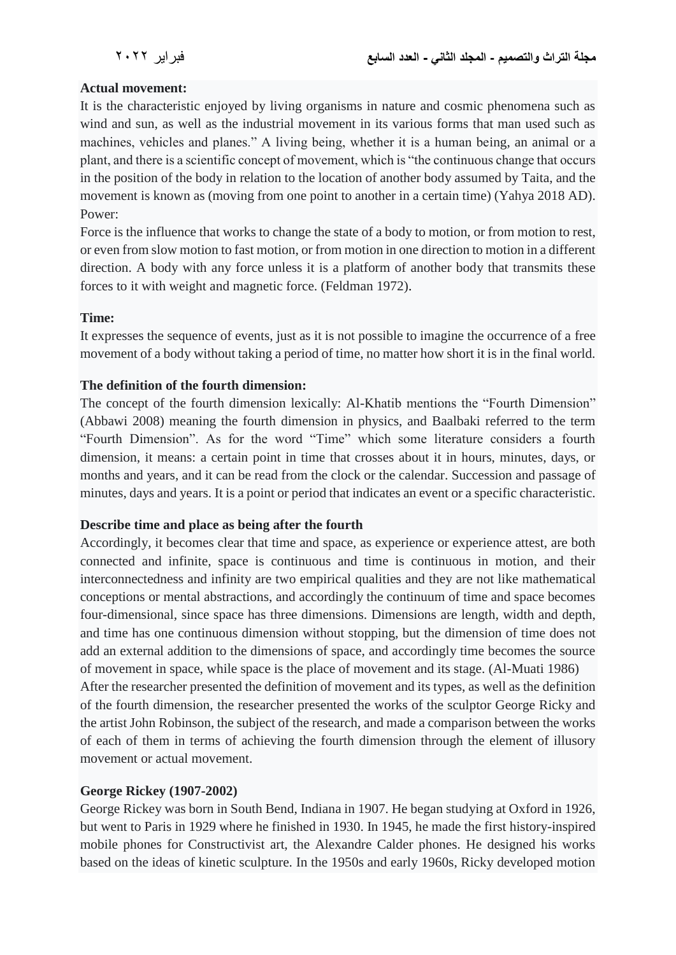#### **Actual movement:**

It is the characteristic enjoyed by living organisms in nature and cosmic phenomena such as wind and sun, as well as the industrial movement in its various forms that man used such as machines, vehicles and planes." A living being, whether it is a human being, an animal or a plant, and there is a scientific concept of movement, which is "the continuous change that occurs in the position of the body in relation to the location of another body assumed by Taita, and the movement is known as (moving from one point to another in a certain time) (Yahya 2018 AD). Power:

Force is the influence that works to change the state of a body to motion, or from motion to rest, or even from slow motion to fast motion, or from motion in one direction to motion in a different direction. A body with any force unless it is a platform of another body that transmits these forces to it with weight and magnetic force. (Feldman 1972).

#### **Time:**

It expresses the sequence of events, just as it is not possible to imagine the occurrence of a free movement of a body without taking a period of time, no matter how short it is in the final world.

#### **The definition of the fourth dimension:**

The concept of the fourth dimension lexically: Al-Khatib mentions the "Fourth Dimension" (Abbawi 2008) meaning the fourth dimension in physics, and Baalbaki referred to the term "Fourth Dimension". As for the word "Time" which some literature considers a fourth dimension, it means: a certain point in time that crosses about it in hours, minutes, days, or months and years, and it can be read from the clock or the calendar. Succession and passage of minutes, days and years. It is a point or period that indicates an event or a specific characteristic.

### **Describe time and place as being after the fourth**

Accordingly, it becomes clear that time and space, as experience or experience attest, are both connected and infinite, space is continuous and time is continuous in motion, and their interconnectedness and infinity are two empirical qualities and they are not like mathematical conceptions or mental abstractions, and accordingly the continuum of time and space becomes four-dimensional, since space has three dimensions. Dimensions are length, width and depth, and time has one continuous dimension without stopping, but the dimension of time does not add an external addition to the dimensions of space, and accordingly time becomes the source of movement in space, while space is the place of movement and its stage. (Al-Muati 1986) After the researcher presented the definition of movement and its types, as well as the definition of the fourth dimension, the researcher presented the works of the sculptor George Ricky and the artist John Robinson, the subject of the research, and made a comparison between the works of each of them in terms of achieving the fourth dimension through the element of illusory movement or actual movement.

#### **George Rickey (1907-2002)**

George Rickey was born in South Bend, Indiana in 1907. He began studying at Oxford in 1926, but went to Paris in 1929 where he finished in 1930. In 1945, he made the first history-inspired mobile phones for Constructivist art, the Alexandre Calder phones. He designed his works based on the ideas of kinetic sculpture. In the 1950s and early 1960s, Ricky developed motion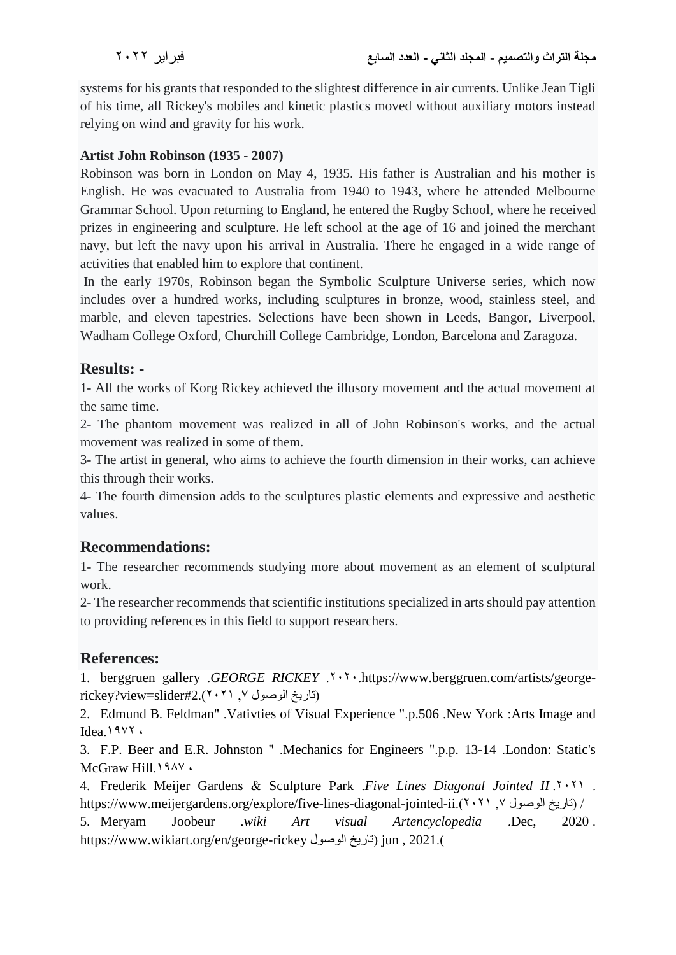systems for his grants that responded to the slightest difference in air currents. Unlike Jean Tigli of his time, all Rickey's mobiles and kinetic plastics moved without auxiliary motors instead relying on wind and gravity for his work.

## **Artist John Robinson (1935 - 2007)**

Robinson was born in London on May 4, 1935. His father is Australian and his mother is English. He was evacuated to Australia from 1940 to 1943, where he attended Melbourne Grammar School. Upon returning to England, he entered the Rugby School, where he received prizes in engineering and sculpture. He left school at the age of 16 and joined the merchant navy, but left the navy upon his arrival in Australia. There he engaged in a wide range of activities that enabled him to explore that continent.

In the early 1970s, Robinson began the Symbolic Sculpture Universe series, which now includes over a hundred works, including sculptures in bronze, wood, stainless steel, and marble, and eleven tapestries. Selections have been shown in Leeds, Bangor, Liverpool, Wadham College Oxford, Churchill College Cambridge, London, Barcelona and Zaragoza.

## **Results: -**

1- All the works of Korg Rickey achieved the illusory movement and the actual movement at the same time.

2- The phantom movement was realized in all of John Robinson's works, and the actual movement was realized in some of them.

3- The artist in general, who aims to achieve the fourth dimension in their works, can achieve this through their works.

4- The fourth dimension adds to the sculptures plastic elements and expressive and aesthetic values.

## **Recommendations:**

1- The researcher recommends studying more about movement as an element of sculptural work.

2- The researcher recommends that scientific institutions specialized in arts should pay attention to providing references in this field to support researchers.

## **References:**

1. berggruen gallery *.GEORGE RICKEY* .<sup>2</sup> .<sup>2</sup> . https://www.berggruen.com/artists/georgerickey?view=slider#2.( $2.7 \cdot 7$ ) (تاريخ الوصول  $\gamma$ 

2. Edmund B. Feldman" .Vativties of Visual Experience ".p.506 .New York :Arts Image and Idea.1977.

3. F.P. Beer and E.R. Johnston " .Mechanics for Engineers ".p.p. 13-14 .London: Static's McGraw Hill.<sup>1987</sup>

4. Frederik Meijer Gardens & Sculpture Park .*Five Lines Diagonal Jointed II* .<sup>2</sup> https://www.meijergardens.org/explore/five-lines-diagonal-jointed-ii.)2021 ,7 الوصول تاريخ )/

5. Meryam Joobeur .*wiki Art visual Artencyclopedia* .Dec, 2020 . https://www.wikiart.org/en/george-rickey الوصول تاريخ )jun , 2021.)